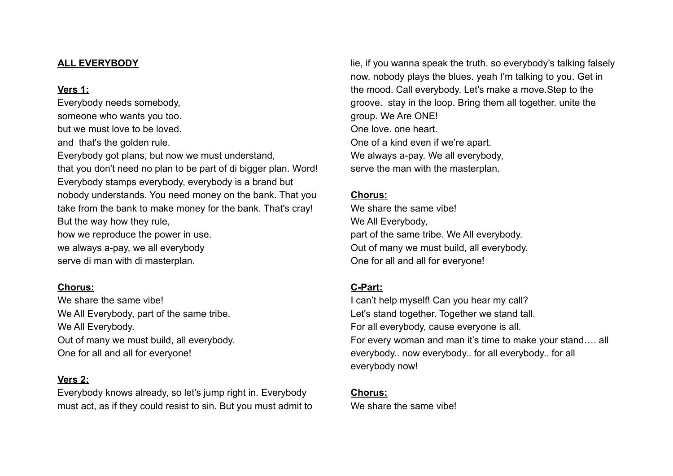#### **ALL EVERYBODY**

#### **Vers 1:**

Everybody needs somebody, someone who wants you too. but we must love to be loved. and that's the golden rule. Everybody got plans, but now we must understand, that you don't need no plan to be part of di bigger plan. Word! Everybody stamps everybody, everybody is a brand but nobody understands. You need money on the bank. That you take from the bank to make money for the bank. That's cray! But the way how they rule, how we reproduce the power in use. we always a-pay, we all everybody serve di man with di masterplan.

# **Chorus:**

We share the same vibe! We All Everybody, part of the same tribe. We All Everybody. Out of many we must build, all everybody. One for all and all for everyone!

# **Vers 2:**

Everybody knows already, so let's jump right in. Everybody must act, as if they could resist to sin. But you must admit to lie, if you wanna speak the truth. so everybody's talking falsely now. nobody plays the blues. yeah I'm talking to you. Get in the mood. Call everybody. Let's make a move.Step to the groove. stay in the loop. Bring them all together. unite the group. We Are ONE! One love. one heart. One of a kind even if we're apart. We always a-pay. We all everybody, serve the man with the masterplan.

# **Chorus:**

We share the same vibe! We All Everybody, part of the same tribe. We All everybody. Out of many we must build, all everybody. One for all and all for everyone!

# **C-Part:**

I can't help myself! Can you hear my call? Let's stand together. Together we stand tall. For all everybody, cause everyone is all. For every woman and man it's time to make your stand…. all everybody.. now everybody.. for all everybody.. for all everybody now!

# **Chorus:**

We share the same vibe!